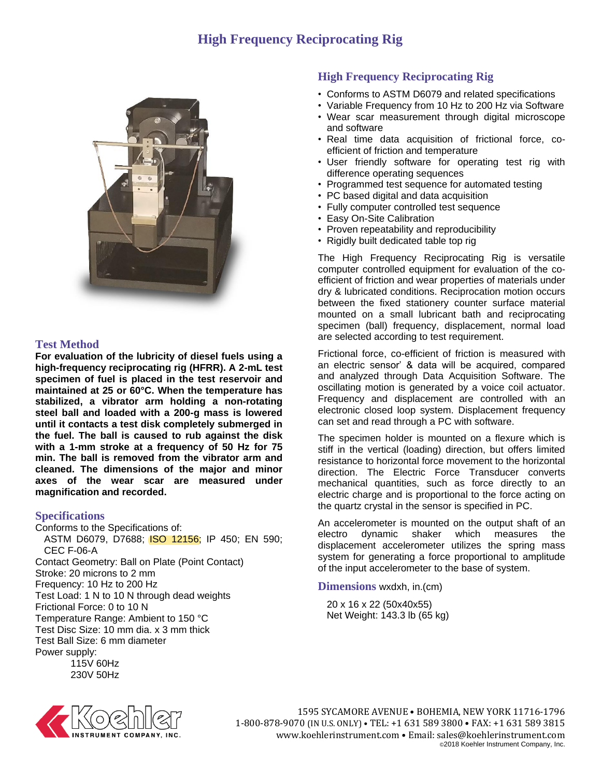## **High Frequency Reciprocating Rig**



## **Test Method**

**For evaluation of the lubricity of diesel fuels using a high-frequency reciprocating rig (HFRR). A 2-mL test specimen of fuel is placed in the test reservoir and maintained at 25 or 60°C. When the temperature has stabilized, a vibrator arm holding a non-rotating steel ball and loaded with a 200-g mass is lowered until it contacts a test disk completely submerged in the fuel. The ball is caused to rub against the disk with a 1-mm stroke at a frequency of 50 Hz for 75 min. The ball is removed from the vibrator arm and cleaned. The dimensions of the major and minor axes of the wear scar are measured under magnification and recorded.**

## **Specifications**

Conforms to the Specifications of: ASTM D6079, D7688; ISO 12156; IP 450; EN 590; CEC F-06-A Contact Geometry: Ball on Plate (Point Contact) Stroke: 20 microns to 2 mm Frequency: 10 Hz to 200 Hz Test Load: 1 N to 10 N through dead weights Frictional Force: 0 to 10 N Temperature Range: Ambient to 150 °C Test Disc Size: 10 mm dia. x 3 mm thick Test Ball Size: 6 mm diameter Power supply: 115V 60Hz

230V 50Hz

## **High Frequency Reciprocating Rig**

- Conforms to ASTM D6079 and related specifications
- Variable Frequency from 10 Hz to 200 Hz via Software
- Wear scar measurement through digital microscope and software
- Real time data acquisition of frictional force, coefficient of friction and temperature
- User friendly software for operating test rig with difference operating sequences
- Programmed test sequence for automated testing
- PC based digital and data acquisition
- Fully computer controlled test sequence
- Easy On-Site Calibration
- Proven repeatability and reproducibility
- Rigidly built dedicated table top rig

The High Frequency Reciprocating Rig is versatile computer controlled equipment for evaluation of the coefficient of friction and wear properties of materials under dry & lubricated conditions. Reciprocation motion occurs between the fixed stationery counter surface material mounted on a small lubricant bath and reciprocating specimen (ball) frequency, displacement, normal load are selected according to test requirement.

Frictional force, co-efficient of friction is measured with an electric sensor' & data will be acquired, compared and analyzed through Data Acquisition Software. The oscillating motion is generated by a voice coil actuator. Frequency and displacement are controlled with an electronic closed loop system. Displacement frequency can set and read through a PC with software.

The specimen holder is mounted on a flexure which is stiff in the vertical (loading) direction, but offers limited resistance to horizontal force movement to the horizontal direction. The Electric Force Transducer converts mechanical quantities, such as force directly to an electric charge and is proportional to the force acting on the quartz crystal in the sensor is specified in PC.

An accelerometer is mounted on the output shaft of an electro dynamic shaker which measures the displacement accelerometer utilizes the spring mass system for generating a force proportional to amplitude of the input accelerometer to the base of system.

**Dimensions** wxdxh, in.(cm)

20 x 16 x 22 (50x40x55) Net Weight: 143.3 lb (65 kg)



1595 SYCAMORE AVENUE • BOHEMIA, NEW YORK 11716-1796 1-800-878-9070 (IN U.S. ONLY) • TEL: +1 631 589 3800 • FAX: +1 631 589 3815 www.koehlerinstrument.com • Email: sales@koehlerinstrument.com ©2018 Koehler Instrument Company, Inc.